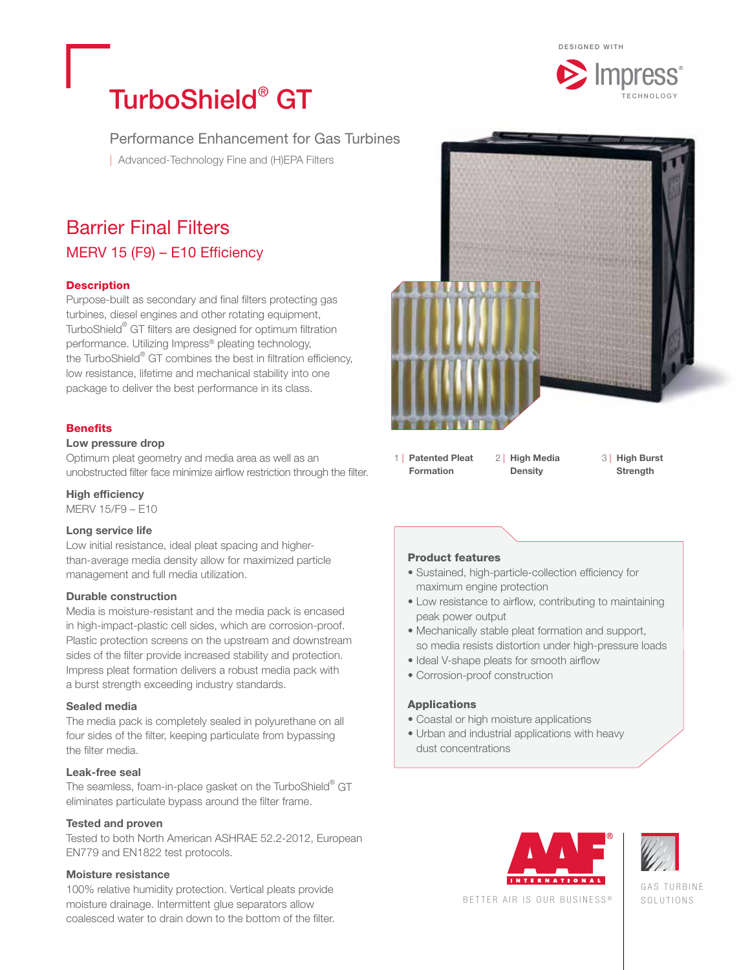

# TurboShield<sup>®</sup> GT

Performance Enhancement for Gas Turbines

| Advanced-Technology Fine and (H)EPA Filters

# Barrier Final Filters MERV 15 (F9) – E10 Efficiency

### **Description**

Purpose-built as secondary and final filters protecting gas turbines, diesel engines and other rotating equipment, TurboShield® GT filters are designed for optimum filtration performance. Utilizing Impress® pleating technology, the TurboShield® GT combines the best in filtration efficiency, low resistance, lifetime and mechanical stability into one package to deliver the best performance in its class.

### **Benefits**

### Low pressure drop

Optimum pleat geometry and media area as well as an unobstructed filter face minimize airflow restriction through the filter.

High efficiency

MERV 15/F9 – E10

### Long service life

Low initial resistance, ideal pleat spacing and higherthan-average media density allow for maximized particle management and full media utilization.

### Durable construction

Media is moisture-resistant and the media pack is encased in high-impact-plastic cell sides, which are corrosion-proof. Plastic protection screens on the upstream and downstream sides of the filter provide increased stability and protection. Impress pleat formation delivers a robust media pack with a burst strength exceeding industry standards.

### Sealed media

The media pack is completely sealed in polyurethane on all four sides of the filter, keeping particulate from bypassing the filter media.

### Leak-free seal

The seamless, foam-in-place gasket on the TurboShield $^\circ$  GT eliminates particulate bypass around the filter frame.

### Tested and proven

Tested to both North American ASHRAE 52.2-2012, European EN779 and EN1822 test protocols.

### Moisture resistance

100% relative humidity protection. Vertical pleats provide moisture drainage. Intermittent glue separators allow coalesced water to drain down to the bottom of the filter.



1 | Patented Pleat Formation

2 | High Media **Density** 

 3 | High Burst **Strength** 

### Product features

- Sustained, high-particle-collection efficiency for maximum engine protection
- Low resistance to airflow, contributing to maintaining peak power output
- Mechanically stable pleat formation and support, so media resists distortion under high-pressure loads
- Ideal V-shape pleats for smooth airflow
- Corrosion-proof construction

### Applications

- Coastal or high moisture applications
- Urban and industrial applications with heavy dust concentrations





GAS TURBINE SOLUTIONS

BETTER AIR IS OUR BUSINESS ®